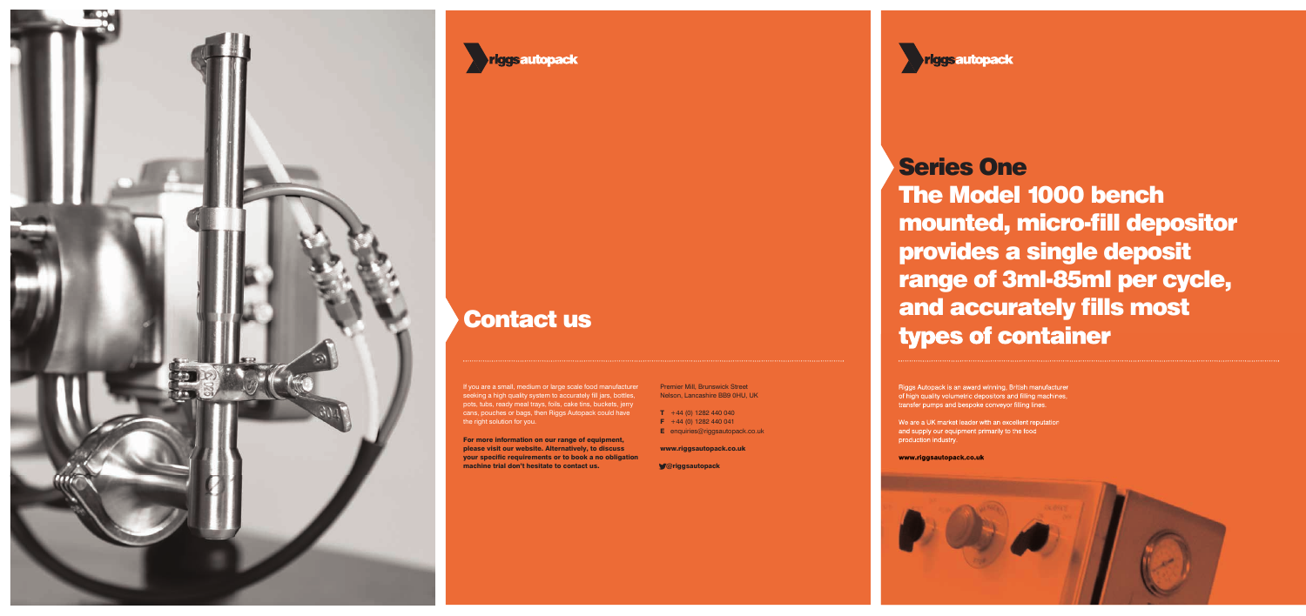

### **riggsautopack**

### Contact us

If you are a small, medium or large scale food manufacturer seeking a high quality system to accurately fill jars, bottles, pots, tubs, ready meal trays, foils, cake tins, buckets, jerry cans, pouches or bags, then Riggs Autopack could have the right solution for you.

Riggs Autopack is an award winning, British manufacturer of high quality volumetric depositors and filling machines, transfer pumps and bespoke conveyor filling lines.

For more information on our range of equipment, please visit our website. Alternatively, to discuss your specific requirements or to book a no obligation machine trial don't hesitate to contact us.

Premier Mill, Brunswick Street Nelson, Lancashire BB9 0HU, UK

- $T + 44 (0) 1282 440 040$
- $F +44 (0) 1282 440 041$
- **E** enquiries@riggsautopack.co.uk

www.riggsautopack.co.uk

@riggsautopack

We are a UK market leader with an excellent reputation and supply our equipment primarily to the food production industry.

www.riggsautopack.co.uk



# Series One The Model 1000 bench mounted, micro-fill depositor provides a single deposit range of 3ml-85ml per cycle, and accurately fills most types of container